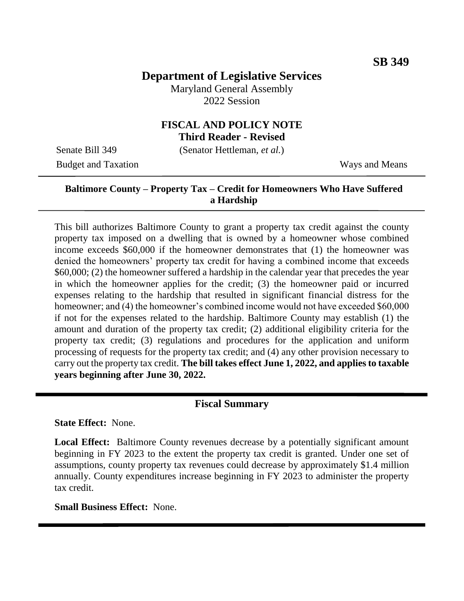# **Department of Legislative Services**

Maryland General Assembly 2022 Session

#### **FISCAL AND POLICY NOTE Third Reader - Revised**

Senate Bill 349 (Senator Hettleman, *et al.*)

Budget and Taxation Ways and Means

### **Baltimore County – Property Tax – Credit for Homeowners Who Have Suffered a Hardship**

This bill authorizes Baltimore County to grant a property tax credit against the county property tax imposed on a dwelling that is owned by a homeowner whose combined income exceeds \$60,000 if the homeowner demonstrates that (1) the homeowner was denied the homeowners' property tax credit for having a combined income that exceeds \$60,000; (2) the homeowner suffered a hardship in the calendar year that precedes the year in which the homeowner applies for the credit; (3) the homeowner paid or incurred expenses relating to the hardship that resulted in significant financial distress for the homeowner; and (4) the homeowner's combined income would not have exceeded \$60,000 if not for the expenses related to the hardship. Baltimore County may establish (1) the amount and duration of the property tax credit; (2) additional eligibility criteria for the property tax credit; (3) regulations and procedures for the application and uniform processing of requests for the property tax credit; and (4) any other provision necessary to carry out the property tax credit. **The bill takes effect June 1, 2022, and applies to taxable years beginning after June 30, 2022.** Ī

#### **Fiscal Summary**

**State Effect:** None.

Local Effect: Baltimore County revenues decrease by a potentially significant amount beginning in FY 2023 to the extent the property tax credit is granted. Under one set of assumptions, county property tax revenues could decrease by approximately \$1.4 million annually. County expenditures increase beginning in FY 2023 to administer the property tax credit.

#### **Small Business Effect:** None.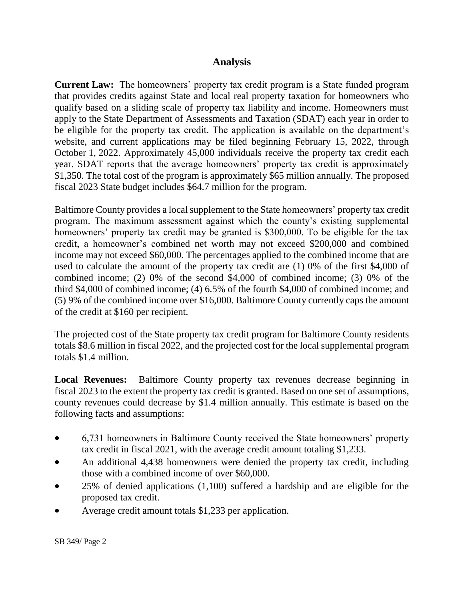## **Analysis**

**Current Law:** The homeowners' property tax credit program is a State funded program that provides credits against State and local real property taxation for homeowners who qualify based on a sliding scale of property tax liability and income. Homeowners must apply to the State Department of Assessments and Taxation (SDAT) each year in order to be eligible for the property tax credit. The application is available on the department's website, and current applications may be filed beginning February 15, 2022, through October 1, 2022. Approximately 45,000 individuals receive the property tax credit each year. SDAT reports that the average homeowners' property tax credit is approximately \$1,350. The total cost of the program is approximately \$65 million annually. The proposed fiscal 2023 State budget includes \$64.7 million for the program.

Baltimore County provides a local supplement to the State homeowners' property tax credit program. The maximum assessment against which the county's existing supplemental homeowners' property tax credit may be granted is \$300,000. To be eligible for the tax credit, a homeowner's combined net worth may not exceed \$200,000 and combined income may not exceed \$60,000. The percentages applied to the combined income that are used to calculate the amount of the property tax credit are (1) 0% of the first \$4,000 of combined income; (2) 0% of the second \$4,000 of combined income; (3) 0% of the third \$4,000 of combined income; (4) 6.5% of the fourth \$4,000 of combined income; and (5) 9% of the combined income over \$16,000. Baltimore County currently caps the amount of the credit at \$160 per recipient.

The projected cost of the State property tax credit program for Baltimore County residents totals \$8.6 million in fiscal 2022, and the projected cost for the local supplemental program totals \$1.4 million.

**Local Revenues:** Baltimore County property tax revenues decrease beginning in fiscal 2023 to the extent the property tax credit is granted. Based on one set of assumptions, county revenues could decrease by \$1.4 million annually. This estimate is based on the following facts and assumptions:

- 6,731 homeowners in Baltimore County received the State homeowners' property tax credit in fiscal 2021, with the average credit amount totaling \$1,233.
- An additional 4,438 homeowners were denied the property tax credit, including those with a combined income of over \$60,000.
- 25% of denied applications (1,100) suffered a hardship and are eligible for the proposed tax credit.
- Average credit amount totals \$1,233 per application.